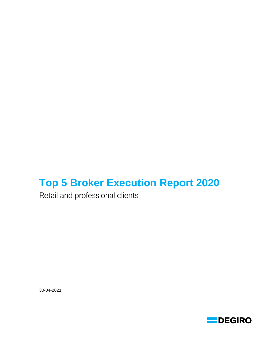# **Top 5 Broker Execution Report 2020**

Retail and professional clients

30-04-2021

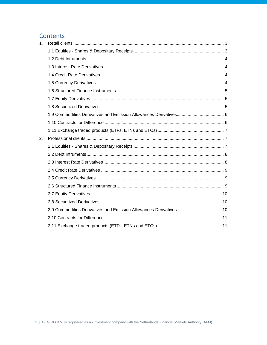# Contents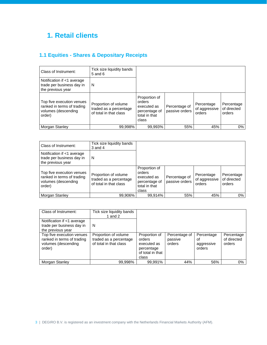# <span id="page-2-0"></span>**1. Retail clients**

# <span id="page-2-1"></span>**1.1 Equities - Shares & Depositary Receipts**

| Class of Instrument:                                                                     | Tick size liquidity bands<br>$5$ and $6$                                 |                                                                                   |                                 |                                       |                                     |
|------------------------------------------------------------------------------------------|--------------------------------------------------------------------------|-----------------------------------------------------------------------------------|---------------------------------|---------------------------------------|-------------------------------------|
| Notification if <1 average<br>trade per business day in<br>the previous year             | N                                                                        |                                                                                   |                                 |                                       |                                     |
| Top five execution venues<br>ranked in terms of trading<br>volumes (descending<br>order) | Proportion of volume<br>traded as a percentage<br>of total in that class | Proportion of<br>orders<br>executed as<br>percentage of<br>total in that<br>class | Percentage of<br>passive orders | Percentage<br>of aggressive<br>orders | Percentage<br>of directed<br>orders |
| Morgan Stanley                                                                           | 99,998%                                                                  | 99,993%                                                                           | 55%                             | 45%                                   | 0%                                  |

| Class of Instrument:                                                                     | Tick size liquidity bands<br>$3$ and $4$                                 |                                                                                   |                                 |                                       |                                     |
|------------------------------------------------------------------------------------------|--------------------------------------------------------------------------|-----------------------------------------------------------------------------------|---------------------------------|---------------------------------------|-------------------------------------|
| Notification if <1 average<br>trade per business day in<br>the previous year             | N                                                                        |                                                                                   |                                 |                                       |                                     |
| Top five execution venues<br>ranked in terms of trading<br>volumes (descending<br>order) | Proportion of volume<br>traded as a percentage<br>of total in that class | Proportion of<br>orders<br>executed as<br>percentage of<br>total in that<br>class | Percentage of<br>passive orders | Percentage<br>of aggressive<br>orders | Percentage<br>of directed<br>orders |
| <b>Morgan Stanley</b>                                                                    | 99.906%                                                                  | 99.914%                                                                           | 55%                             | 45%                                   | 0%                                  |

| Class of Instrument:                                                                     | Tick size liquidity bands<br>1 and 2                                     |                                                                                   |                                    |                                          |                                     |
|------------------------------------------------------------------------------------------|--------------------------------------------------------------------------|-----------------------------------------------------------------------------------|------------------------------------|------------------------------------------|-------------------------------------|
| Notification if <1 average<br>trade per business day in<br>the previous year             | N                                                                        |                                                                                   |                                    |                                          |                                     |
| Top five execution venues<br>ranked in terms of trading<br>volumes (descending<br>order) | Proportion of volume<br>traded as a percentage<br>of total in that class | Proportion of<br>orders<br>executed as<br>percentage<br>of total in that<br>class | Percentage of<br>passive<br>orders | Percentage<br>οf<br>aggressive<br>orders | Percentage<br>of directed<br>orders |
| Morgan Stanley                                                                           | 99.998%                                                                  | 99.991%                                                                           | 44%                                | 56%                                      | 0%                                  |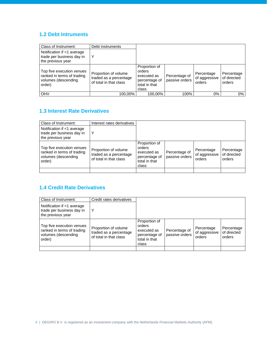### <span id="page-3-0"></span>**1.2 Debt Intruments**

| Class of Instrument:                                                                     | Debt instruments                                                         |                                                                                   |                                 |                                       |                                     |
|------------------------------------------------------------------------------------------|--------------------------------------------------------------------------|-----------------------------------------------------------------------------------|---------------------------------|---------------------------------------|-------------------------------------|
| Notification if <1 average<br>trade per business day in<br>the previous year             |                                                                          |                                                                                   |                                 |                                       |                                     |
| Top five execution venues<br>ranked in terms of trading<br>volumes (descending<br>order) | Proportion of volume<br>traded as a percentage<br>of total in that class | Proportion of<br>orders<br>executed as<br>percentage of<br>total in that<br>class | Percentage of<br>passive orders | Percentage<br>of aggressive<br>orders | Percentage<br>of directed<br>orders |
| OHV                                                                                      | 100.00%                                                                  | 100.00%                                                                           | 100%                            | 0%                                    | 0%                                  |

### <span id="page-3-1"></span>**1.3 Interest Rate Derivatives**

| Class of Instrument:                                                                     | Interest rates derivatives                                               |                                                                                   |                                 |                                       |                                     |
|------------------------------------------------------------------------------------------|--------------------------------------------------------------------------|-----------------------------------------------------------------------------------|---------------------------------|---------------------------------------|-------------------------------------|
| Notification if <1 average<br>trade per business day in<br>the previous year             |                                                                          |                                                                                   |                                 |                                       |                                     |
| Top five execution venues<br>ranked in terms of trading<br>volumes (descending<br>order) | Proportion of volume<br>traded as a percentage<br>of total in that class | Proportion of<br>orders<br>executed as<br>percentage of<br>total in that<br>class | Percentage of<br>passive orders | Percentage<br>of aggressive<br>orders | Percentage<br>of directed<br>orders |
|                                                                                          |                                                                          |                                                                                   |                                 |                                       |                                     |

### <span id="page-3-2"></span>**1.4 Credit Rate Derivatives**

<span id="page-3-3"></span>

| Class of Instrument:                                                                     | Credit rates derivatives                                                 |                                                                                   |                                 |                                       |                                     |
|------------------------------------------------------------------------------------------|--------------------------------------------------------------------------|-----------------------------------------------------------------------------------|---------------------------------|---------------------------------------|-------------------------------------|
| Notification if <1 average<br>trade per business day in<br>the previous year             | Υ                                                                        |                                                                                   |                                 |                                       |                                     |
| Top five execution venues<br>ranked in terms of trading<br>volumes (descending<br>order) | Proportion of volume<br>traded as a percentage<br>of total in that class | Proportion of<br>orders<br>executed as<br>percentage of<br>total in that<br>class | Percentage of<br>passive orders | Percentage<br>of aggressive<br>orders | Percentage<br>of directed<br>orders |
|                                                                                          |                                                                          |                                                                                   |                                 |                                       |                                     |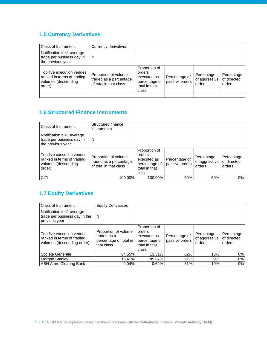### **1.5 Currency Derivatives**

| Class of Instrument:                                                                     | Currency derivatives                                                     |                                                                                   |                                 |                                       |                                     |
|------------------------------------------------------------------------------------------|--------------------------------------------------------------------------|-----------------------------------------------------------------------------------|---------------------------------|---------------------------------------|-------------------------------------|
| Notification if <1 average<br>trade per business day in<br>the previous year             | Υ                                                                        |                                                                                   |                                 |                                       |                                     |
| Top five execution venues<br>ranked in terms of trading<br>volumes (descending<br>order) | Proportion of volume<br>traded as a percentage<br>of total in that class | Proportion of<br>orders<br>executed as<br>percentage of<br>total in that<br>class | Percentage of<br>passive orders | Percentage<br>of aggressive<br>orders | Percentage<br>of directed<br>orders |
|                                                                                          |                                                                          |                                                                                   |                                 |                                       |                                     |

### <span id="page-4-0"></span>**1.6 Structured Finance Instruments**

| Class of Instrument:                                                                     | Structured finance<br>instruments                                        |                                                                                   |                                 |                                       |                                     |
|------------------------------------------------------------------------------------------|--------------------------------------------------------------------------|-----------------------------------------------------------------------------------|---------------------------------|---------------------------------------|-------------------------------------|
| Notification if <1 average<br>trade per business day in<br>the previous year             | N                                                                        |                                                                                   |                                 |                                       |                                     |
| Top five execution venues<br>ranked in terms of trading<br>volumes (descending<br>order) | Proportion of volume<br>traded as a percentage<br>of total in that class | Proportion of<br>orders<br>executed as<br>percentage of<br>total in that<br>class | Percentage of<br>passive orders | Percentage<br>of aggressive<br>orders | Percentage<br>of directed<br>orders |
| <b>CITI</b>                                                                              | 100,00%                                                                  | 100.00%                                                                           | 50%                             | 50%                                   | 0%                                  |

# <span id="page-4-1"></span>**1.7 Equity Derivatives**

<span id="page-4-2"></span>

| Class of Instrument:                                                                  | <b>Equity Derivatives</b>                                                   |                                                                                   |                                 |                                       |                                     |
|---------------------------------------------------------------------------------------|-----------------------------------------------------------------------------|-----------------------------------------------------------------------------------|---------------------------------|---------------------------------------|-------------------------------------|
| Notification if <1 average<br>trade per business day in the<br>previous year          | N                                                                           |                                                                                   |                                 |                                       |                                     |
| Top five execution venues<br>ranked in terms of trading<br>volumes (descending order) | Proportion of volume<br>traded as a<br>percentage of total in<br>that class | Proportion of<br>orders<br>executed as<br>percentage of<br>total in that<br>class | Percentage of<br>passive orders | Percentage<br>of aggressive<br>orders | Percentage<br>of directed<br>orders |
| Societe Generale                                                                      | 84,55%                                                                      | 13,51%                                                                            | 82%                             | 18%                                   | 0%                                  |
| Morgan Stanley                                                                        | 15.41%                                                                      | 85,87%                                                                            | 91%                             | 9%                                    | 0%                                  |
| ABN Amro Clearing Bank                                                                | 0.04%                                                                       | 0.62%                                                                             | 81%                             | 19%                                   | 0%                                  |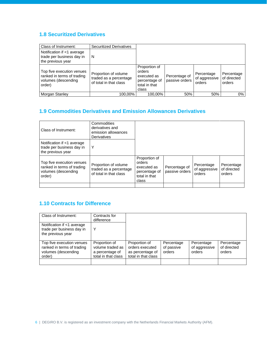### **1.8 Securitized Derivatives**

| Class of Instrument:                                                                     | <b>Securitized Derivatives</b>                                           |                                                                                   |                                 |                                       |                                     |
|------------------------------------------------------------------------------------------|--------------------------------------------------------------------------|-----------------------------------------------------------------------------------|---------------------------------|---------------------------------------|-------------------------------------|
| Notification if <1 average<br>trade per business day in<br>the previous year             | N                                                                        |                                                                                   |                                 |                                       |                                     |
| Top five execution venues<br>ranked in terms of trading<br>volumes (descending<br>order) | Proportion of volume<br>traded as a percentage<br>of total in that class | Proportion of<br>orders<br>executed as<br>percentage of<br>total in that<br>class | Percentage of<br>passive orders | Percentage<br>of aggressive<br>orders | Percentage<br>of directed<br>orders |
| Morgan Stanley                                                                           | 100.00%                                                                  | 100.00%                                                                           | 50%                             | 50%                                   | 0%                                  |

### <span id="page-5-0"></span>**1.9 Commodities Derivatives and Emission Allowances Derivatives**

| Class of Instrument:                                                                     | Commodities<br>derivatives and<br>emission allowances<br>Derivatives     |                                                                                   |                                 |                                       |                                     |
|------------------------------------------------------------------------------------------|--------------------------------------------------------------------------|-----------------------------------------------------------------------------------|---------------------------------|---------------------------------------|-------------------------------------|
| Notification if <1 average<br>trade per business day in<br>the previous year             | Υ                                                                        |                                                                                   |                                 |                                       |                                     |
| Top five execution venues<br>ranked in terms of trading<br>volumes (descending<br>order) | Proportion of volume<br>traded as a percentage<br>of total in that class | Proportion of<br>orders<br>executed as<br>percentage of<br>total in that<br>class | Percentage of<br>passive orders | Percentage<br>of aggressive<br>orders | Percentage<br>of directed<br>orders |
|                                                                                          |                                                                          |                                                                                   |                                 |                                       |                                     |

#### <span id="page-5-1"></span>**1.10 Contracts for Difference**

| Class of Instrument:                                                                     | Contracts for<br>difference                                                 |                                                                             |                                    |                                       |                                     |
|------------------------------------------------------------------------------------------|-----------------------------------------------------------------------------|-----------------------------------------------------------------------------|------------------------------------|---------------------------------------|-------------------------------------|
| Notification if <1 average<br>trade per business day in<br>the previous year             | Υ                                                                           |                                                                             |                                    |                                       |                                     |
| Top five execution venues<br>ranked in terms of trading<br>volumes (descending<br>order) | Proportion of<br>volume traded as<br>a percentage of<br>total in that class | Proportion of<br>orders executed<br>as percentage of<br>total in that class | Percentage<br>of passive<br>orders | Percentage<br>of aggressive<br>orders | Percentage<br>of directed<br>orders |
|                                                                                          |                                                                             |                                                                             |                                    |                                       |                                     |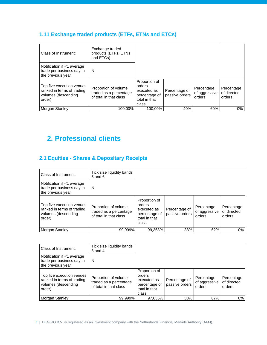# <span id="page-6-0"></span>**1.11 Exchange traded products (ETFs, ETNs and ETCs)**

| Class of Instrument:                                                                     | Exchange traded<br>products (ETFs, ETNs<br>and ETCs)                     |                                                                                   |                                 |                                       |                                     |
|------------------------------------------------------------------------------------------|--------------------------------------------------------------------------|-----------------------------------------------------------------------------------|---------------------------------|---------------------------------------|-------------------------------------|
| Notification if <1 average<br>trade per business day in<br>the previous year             | N                                                                        |                                                                                   |                                 |                                       |                                     |
| Top five execution venues<br>ranked in terms of trading<br>volumes (descending<br>order) | Proportion of volume<br>traded as a percentage<br>of total in that class | Proportion of<br>orders<br>executed as<br>percentage of<br>total in that<br>class | Percentage of<br>passive orders | Percentage<br>of aggressive<br>orders | Percentage<br>of directed<br>orders |
| Morgan Stanley                                                                           | 100.00%                                                                  | 100.00%                                                                           | 40%                             | 60%                                   | $0\%$                               |

# <span id="page-6-1"></span>**2. Professional clients**

### <span id="page-6-2"></span>**2.1 Equities - Shares & Depositary Receipts**

| Class of Instrument:                                                                     | Tick size liquidity bands<br>$5$ and $6$                                 |                                                                                   |                                 |                                       |                                     |
|------------------------------------------------------------------------------------------|--------------------------------------------------------------------------|-----------------------------------------------------------------------------------|---------------------------------|---------------------------------------|-------------------------------------|
| Notification if <1 average<br>trade per business day in<br>the previous year             | N                                                                        |                                                                                   |                                 |                                       |                                     |
| Top five execution venues<br>ranked in terms of trading<br>volumes (descending<br>order) | Proportion of volume<br>traded as a percentage<br>of total in that class | Proportion of<br>orders<br>executed as<br>percentage of<br>total in that<br>class | Percentage of<br>passive orders | Percentage<br>of aggressive<br>orders | Percentage<br>of directed<br>orders |
| Morgan Stanley                                                                           | 99,999%                                                                  | 99,368%                                                                           | 38%                             | 62%                                   | 0%                                  |

| Class of Instrument:                                                                     | Tick size liquidity bands<br>$3$ and $4$                                 |                                                                                   |                                 |                                       |                                     |
|------------------------------------------------------------------------------------------|--------------------------------------------------------------------------|-----------------------------------------------------------------------------------|---------------------------------|---------------------------------------|-------------------------------------|
| Notification if <1 average<br>trade per business day in<br>the previous year             | N                                                                        |                                                                                   |                                 |                                       |                                     |
| Top five execution venues<br>ranked in terms of trading<br>volumes (descending<br>order) | Proportion of volume<br>traded as a percentage<br>of total in that class | Proportion of<br>orders<br>executed as<br>percentage of<br>total in that<br>class | Percentage of<br>passive orders | Percentage<br>of aggressive<br>orders | Percentage<br>of directed<br>orders |
| Morgan Stanley                                                                           | 99.999%                                                                  | 97,635%                                                                           | 33%                             | 67%                                   | 0%                                  |

7 | DEGIRO B.V. is registered as an investment company with the Netherlands Financial Markets Authority (AFM).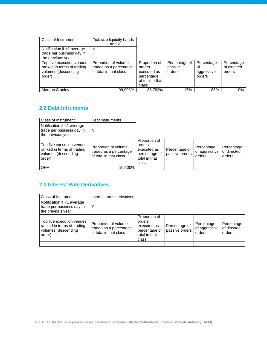| Class of Instrument:                                                                     | Tick size liquidity bands<br>1 and $2$                                   |                                                                                   |                                    |                                          |                                     |
|------------------------------------------------------------------------------------------|--------------------------------------------------------------------------|-----------------------------------------------------------------------------------|------------------------------------|------------------------------------------|-------------------------------------|
| Notification if <1 average<br>trade per business day in<br>the previous year             | N                                                                        |                                                                                   |                                    |                                          |                                     |
| Top five execution venues<br>ranked in terms of trading<br>volumes (descending<br>order) | Proportion of volume<br>traded as a percentage<br>of total in that class | Proportion of<br>orders<br>executed as<br>percentage<br>of total in that<br>class | Percentage of<br>passive<br>orders | Percentage<br>οf<br>aggressive<br>orders | Percentage<br>of directed<br>orders |
| Morgan Stanley                                                                           | 99,998%                                                                  | 86.792%                                                                           | 17%                                | 83%                                      | $0\%$                               |

#### <span id="page-7-0"></span>**2.2 Debt Intruments**

| Class of Instrument:                                                                     | Debt instruments                                                         |                                                                                   |                                 |                                       |                                     |
|------------------------------------------------------------------------------------------|--------------------------------------------------------------------------|-----------------------------------------------------------------------------------|---------------------------------|---------------------------------------|-------------------------------------|
| Notification if <1 average<br>trade per business day in<br>the previous year             | N                                                                        |                                                                                   |                                 |                                       |                                     |
| Top five execution venues<br>ranked in terms of trading<br>volumes (descending<br>order) | Proportion of volume<br>traded as a percentage<br>of total in that class | Proportion of<br>orders<br>executed as<br>percentage of<br>total in that<br>class | Percentage of<br>passive orders | Percentage<br>of aggressive<br>orders | Percentage<br>of directed<br>orders |
| OHV                                                                                      | 100.00%                                                                  |                                                                                   |                                 |                                       |                                     |

### <span id="page-7-1"></span>**2.3 Interest Rate Derivatives**

| Class of Instrument:                                                                     | Interest rates derivatives                                               |                                                                                   |                                 |                                       |                                     |
|------------------------------------------------------------------------------------------|--------------------------------------------------------------------------|-----------------------------------------------------------------------------------|---------------------------------|---------------------------------------|-------------------------------------|
| Notification if <1 average<br>trade per business day in<br>the previous year             | Y                                                                        |                                                                                   |                                 |                                       |                                     |
| Top five execution venues<br>ranked in terms of trading<br>volumes (descending<br>order) | Proportion of volume<br>traded as a percentage<br>of total in that class | Proportion of<br>orders<br>executed as<br>percentage of<br>total in that<br>class | Percentage of<br>passive orders | Percentage<br>of aggressive<br>orders | Percentage<br>of directed<br>orders |
|                                                                                          |                                                                          |                                                                                   |                                 |                                       |                                     |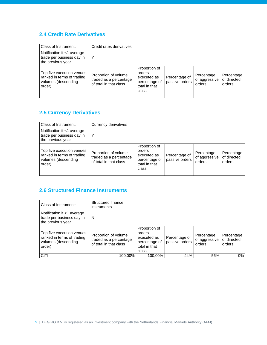### <span id="page-8-0"></span>**2.4 Credit Rate Derivatives**

| Class of Instrument:                                                                     | Credit rates derivatives                                                 |                                                                                   |                                 |                                       |                                     |
|------------------------------------------------------------------------------------------|--------------------------------------------------------------------------|-----------------------------------------------------------------------------------|---------------------------------|---------------------------------------|-------------------------------------|
| Notification if <1 average<br>trade per business day in<br>the previous year             | Υ                                                                        |                                                                                   |                                 |                                       |                                     |
| Top five execution venues<br>ranked in terms of trading<br>volumes (descending<br>order) | Proportion of volume<br>traded as a percentage<br>of total in that class | Proportion of<br>orders<br>executed as<br>percentage of<br>total in that<br>class | Percentage of<br>passive orders | Percentage<br>of aggressive<br>orders | Percentage<br>of directed<br>orders |
|                                                                                          |                                                                          |                                                                                   |                                 |                                       |                                     |

### <span id="page-8-1"></span>**2.5 Currency Derivatives**

| Class of Instrument:                                                                     | Currency derivatives                                                     |                                                                                   |                                 |                                       |                                     |
|------------------------------------------------------------------------------------------|--------------------------------------------------------------------------|-----------------------------------------------------------------------------------|---------------------------------|---------------------------------------|-------------------------------------|
| Notification if <1 average<br>trade per business day in<br>the previous year             | Υ                                                                        |                                                                                   |                                 |                                       |                                     |
| Top five execution venues<br>ranked in terms of trading<br>volumes (descending<br>order) | Proportion of volume<br>traded as a percentage<br>of total in that class | Proportion of<br>orders<br>executed as<br>percentage of<br>total in that<br>class | Percentage of<br>passive orders | Percentage<br>of aggressive<br>orders | Percentage<br>of directed<br>orders |
|                                                                                          |                                                                          |                                                                                   |                                 |                                       |                                     |

### <span id="page-8-2"></span>**2.6 Structured Finance Instruments**

| Class of Instrument:                                                                     | Structured finance<br>instruments                                        |                                                                                   |                                 |                                       |                                     |
|------------------------------------------------------------------------------------------|--------------------------------------------------------------------------|-----------------------------------------------------------------------------------|---------------------------------|---------------------------------------|-------------------------------------|
| Notification if <1 average<br>trade per business day in<br>the previous year             | N                                                                        |                                                                                   |                                 |                                       |                                     |
| Top five execution venues<br>ranked in terms of trading<br>volumes (descending<br>order) | Proportion of volume<br>traded as a percentage<br>of total in that class | Proportion of<br>orders<br>executed as<br>percentage of<br>total in that<br>class | Percentage of<br>passive orders | Percentage<br>of aggressive<br>orders | Percentage<br>of directed<br>orders |
| <b>CITI</b>                                                                              | 100.00%                                                                  | 100,00%                                                                           | 44%                             | 56%                                   | 0%                                  |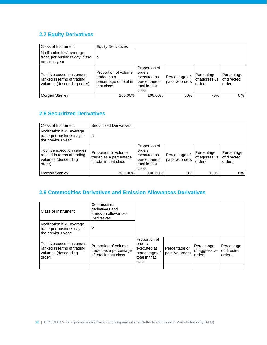# <span id="page-9-0"></span>**2.7 Equity Derivatives**

| Class of Instrument:                                                                  | <b>Equity Derivatives</b>                                                   |                                                                                   |                                 |                                       |                                     |
|---------------------------------------------------------------------------------------|-----------------------------------------------------------------------------|-----------------------------------------------------------------------------------|---------------------------------|---------------------------------------|-------------------------------------|
| Notification if <1 average<br>trade per business day in the<br>previous year          | N                                                                           |                                                                                   |                                 |                                       |                                     |
| Top five execution venues<br>ranked in terms of trading<br>volumes (descending order) | Proportion of volume<br>traded as a<br>percentage of total in<br>that class | Proportion of<br>orders<br>executed as<br>percentage of<br>total in that<br>class | Percentage of<br>passive orders | Percentage<br>of aggressive<br>orders | Percentage<br>of directed<br>orders |
| Morgan Stanley                                                                        | 100.00%                                                                     | 100,00%                                                                           | 30%                             | 70%                                   | 0%                                  |

### <span id="page-9-1"></span>**2.8 Securitized Derivatives**

| Class of Instrument:                                                                     | <b>Securitized Derivatives</b>                                           |                                                                                   |                                 |                                       |                                     |
|------------------------------------------------------------------------------------------|--------------------------------------------------------------------------|-----------------------------------------------------------------------------------|---------------------------------|---------------------------------------|-------------------------------------|
| Notification if <1 average<br>trade per business day in<br>the previous year             | N                                                                        |                                                                                   |                                 |                                       |                                     |
| Top five execution venues<br>ranked in terms of trading<br>volumes (descending<br>order) | Proportion of volume<br>traded as a percentage<br>of total in that class | Proportion of<br>orders<br>executed as<br>percentage of<br>total in that<br>class | Percentage of<br>passive orders | Percentage<br>of aggressive<br>orders | Percentage<br>of directed<br>orders |
| Morgan Stanley                                                                           | 100,00%                                                                  | 100,00%                                                                           | 0%                              | 100%                                  | 0%                                  |

### <span id="page-9-2"></span>**2.9 Commodities Derivatives and Emission Allowances Derivatives**

<span id="page-9-3"></span>

| Derivatives                                                              |                                                                                   |                                 |                                       |                                     |
|--------------------------------------------------------------------------|-----------------------------------------------------------------------------------|---------------------------------|---------------------------------------|-------------------------------------|
| Υ                                                                        |                                                                                   |                                 |                                       |                                     |
| Proportion of volume<br>traded as a percentage<br>of total in that class | Proportion of<br>orders<br>executed as<br>percentage of<br>total in that<br>class | Percentage of<br>passive orders | Percentage<br>of aggressive<br>orders | Percentage<br>of directed<br>orders |
|                                                                          |                                                                                   |                                 |                                       |                                     |